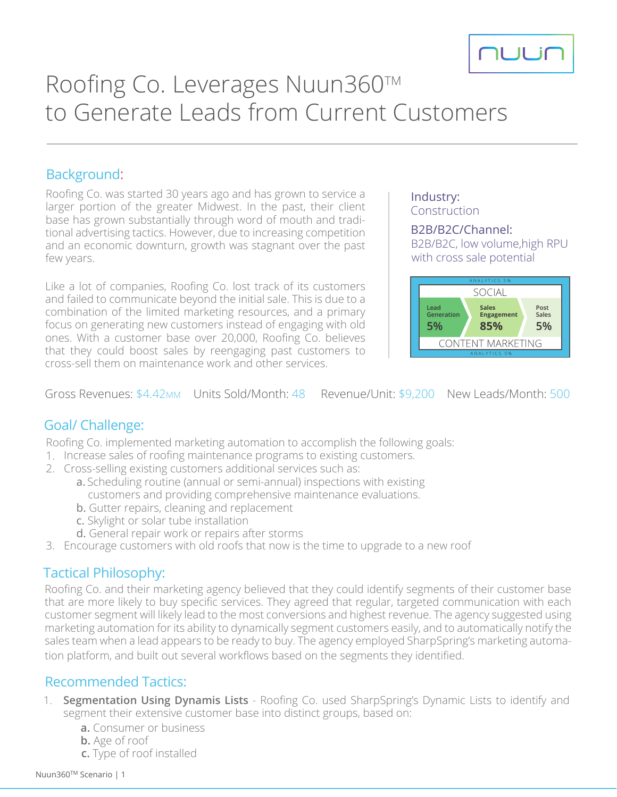

# Roofing Co. Leverages Nuun360™ to Generate Leads from Current Customers

#### Background:

Roofing Co. was started 30 years ago and has grown to service a larger portion of the greater Midwest. In the past, their client base has grown substantially through word of mouth and traditional advertising tactics. However, due to increasing competition and an economic downturn, growth was stagnant over the past few years.

Like a lot of companies, Roofing Co. lost track of its customers and failed to communicate beyond the initial sale. This is due to a combination of the limited marketing resources, and a primary focus on generating new customers instead of engaging with old ones. With a customer base over 20,000, Roofing Co. believes that they could boost sales by reengaging past customers to cross-sell them on maintenance work and other services.

#### Industry: Construction

#### B2B/B2C/Channel:

B2B/B2C, low volume,high RPU with cross sale potential



Gross Revenues: \$4.42MM Units Sold/Month: 48 Revenue/Unit: \$9,200 New Leads/Month: 500

## Goal/ Challenge:

Roofing Co. implemented marketing automation to accomplish the following goals:

- 1. Increase sales of roofing maintenance programs to existing customers.
- 2. Cross-selling existing customers additional services such as:
	- a. Scheduling routine (annual or semi-annual) inspections with existing customers and providing comprehensive maintenance evaluations.
	- b. Gutter repairs, cleaning and replacement
	- c. Skylight or solar tube installation
	- d. General repair work or repairs after storms
- 3. Encourage customers with old roofs that now is the time to upgrade to a new roof

## Tactical Philosophy:

Roofing Co. and their marketing agency believed that they could identify segments of their customer base that are more likely to buy specific services. They agreed that regular, targeted communication with each customer segment will likely lead to the most conversions and highest revenue. The agency suggested using marketing automation for its ability to dynamically segment customers easily, and to automatically notify the sales team when a lead appears to be ready to buy. The agency employed SharpSpring's marketing automation platform, and built out several workflows based on the segments they identified.

## Recommended Tactics:

- 1. **Segmentation Using Dynamis Lists** Roofing Co. used SharpSpring's Dynamic Lists to identify and segment their extensive customer base into distinct groups, based on:
	- **a.** Consumer or business
	- **b.** Age of roof
	- **c.** Type of roof installed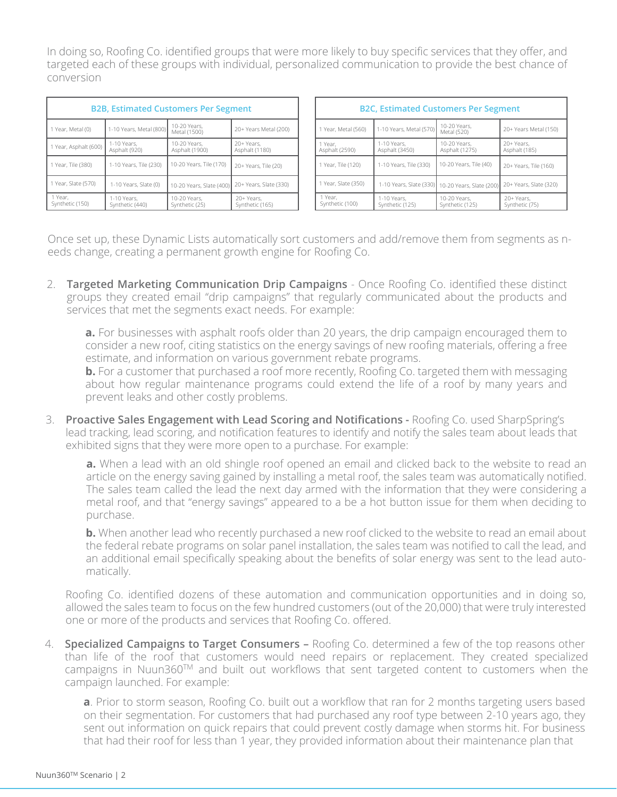In doing so, Roofing Co. identified groups that were more likely to buy specific services that they offer, and targeted each of these groups with individual, personalized communication to provide the best chance of conversion

| <b>B2B, Estimated Customers Per Segment</b> |                                |                                |                               |  |  |  |  |
|---------------------------------------------|--------------------------------|--------------------------------|-------------------------------|--|--|--|--|
| 1 Year, Metal (0)                           | 1-10 Years, Metal (800)        | 10-20 Years.<br>Metal (1500)   | 20+ Years Metal (200)         |  |  |  |  |
| 1 Year, Asphalt (600)                       | 1-10 Years.<br>Asphalt (920)   | 10-20 Years.<br>Asphalt (1900) | 20+ Years.<br>Asphalt (1180)  |  |  |  |  |
| 1 Year, Tile (380)                          | 1-10 Years, Tile (230)         | 10-20 Years, Tile (170)        | 20+ Years, Tile (20)          |  |  |  |  |
| 1 Year, Slate (570)                         | 1-10 Years, Slate (0)          | 10-20 Years, Slate (400)       | 20+ Years, Slate (330)        |  |  |  |  |
| 1 Year,<br>Synthetic (150)                  | 1-10 Years,<br>Synthetic (440) | 10-20 Years.<br>Synthetic (25) | 20+ Years,<br>Synthetic (165) |  |  |  |  |

| <b>B2C, Estimated Customers Per Segment</b> |                                |                                                  |                              |  |  |  |  |
|---------------------------------------------|--------------------------------|--------------------------------------------------|------------------------------|--|--|--|--|
| 1 Year, Metal (560)                         | 1-10 Years, Metal (570)        | 10-20 Years.<br>Metal (520)                      | 20+ Years Metal (150)        |  |  |  |  |
| 1 Year.<br>Asphalt (2590)                   | 1-10 Years.<br>Asphalt (3450)  | 10-20 Years,<br>Asphalt (1275)                   | 20+ Years.<br>Asphalt (185)  |  |  |  |  |
| 1 Year, Tile (120)                          | 1-10 Years, Tile (330)         | 10-20 Years, Tile (40)                           | 20+ Years, Tile (160)        |  |  |  |  |
| 1 Year, Slate (350)                         |                                | 1-10 Years, Slate (330) 10-20 Years, Slate (200) | 20+ Years, Slate (320)       |  |  |  |  |
| 1 Year,<br>Synthetic (100)                  | 1-10 Years.<br>Synthetic (125) | 10-20 Years.<br>Synthetic (125)                  | 20+ Years,<br>Synthetic (75) |  |  |  |  |

Once set up, these Dynamic Lists automatically sort customers and add/remove them from segments as needs change, creating a permanent growth engine for Roofing Co.

2. **Targeted Marketing Communication Drip Campaigns** - Once Roofing Co. identified these distinct groups they created email "drip campaigns" that regularly communicated about the products and services that met the segments exact needs. For example:

**a.** For businesses with asphalt roofs older than 20 years, the drip campaign encouraged them to consider a new roof, citing statistics on the energy savings of new roofing materials, offering a free estimate, and information on various government rebate programs.

**b.** For a customer that purchased a roof more recently, Roofing Co. targeted them with messaging about how regular maintenance programs could extend the life of a roof by many years and prevent leaks and other costly problems.

3. **Proactive Sales Engagement with Lead Scoring and Notifications -** Roofing Co. used SharpSpring's lead tracking, lead scoring, and notification features to identify and notify the sales team about leads that exhibited signs that they were more open to a purchase. For example:

**a.** When a lead with an old shingle roof opened an email and clicked back to the website to read an article on the energy saving gained by installing a metal roof, the sales team was automatically notified. The sales team called the lead the next day armed with the information that they were considering a metal roof, and that "energy savings" appeared to a be a hot button issue for them when deciding to purchase.

**b.** When another lead who recently purchased a new roof clicked to the website to read an email about the federal rebate programs on solar panel installation, the sales team was notified to call the lead, and an additional email specifically speaking about the benefits of solar energy was sent to the lead automatically.

Roofing Co. identified dozens of these automation and communication opportunities and in doing so, allowed the sales team to focus on the few hundred customers (out of the 20,000) that were truly interested one or more of the products and services that Roofing Co. offered.

4. **Specialized Campaigns to Target Consumers –** Roofing Co. determined a few of the top reasons other than life of the roof that customers would need repairs or replacement. They created specialized campaigns in Nuun360TM and built out workflows that sent targeted content to customers when the campaign launched. For example:

**a**. Prior to storm season, Roofing Co. built out a workflow that ran for 2 months targeting users based on their segmentation. For customers that had purchased any roof type between 2-10 years ago, they sent out information on quick repairs that could prevent costly damage when storms hit. For business that had their roof for less than 1 year, they provided information about their maintenance plan that